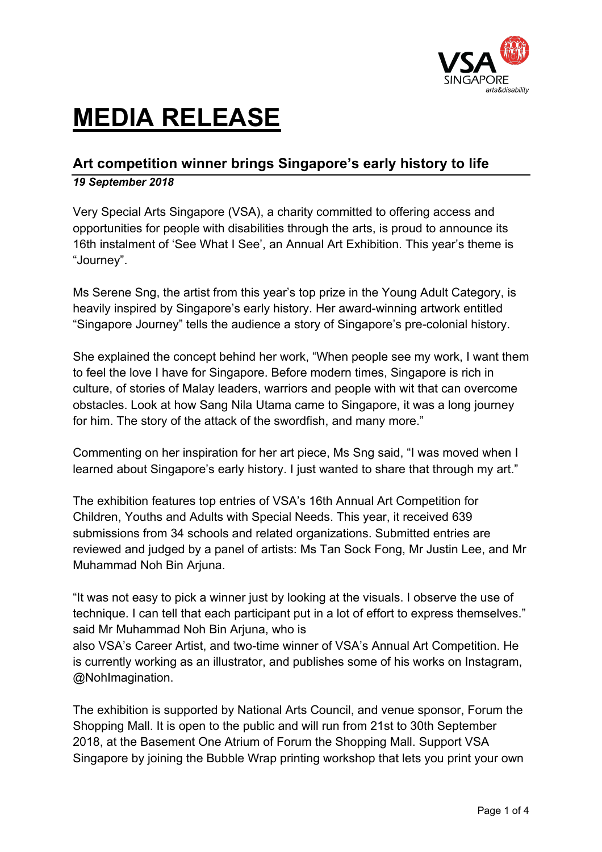

# **MEDIA RELEASE**

# **Art competition winner brings Singapore's early history to life** *19 September 2018*

Very Special Arts Singapore (VSA), a charity committed to offering access and opportunities for people with disabilities through the arts, is proud to announce its 16th instalment of 'See What I See', an Annual Art Exhibition. This year's theme is "Journey".

Ms Serene Sng, the artist from this year's top prize in the Young Adult Category, is heavily inspired by Singapore's early history. Her award-winning artwork entitled "Singapore Journey" tells the audience a story of Singapore's pre-colonial history.

She explained the concept behind her work, "When people see my work, I want them to feel the love I have for Singapore. Before modern times, Singapore is rich in culture, of stories of Malay leaders, warriors and people with wit that can overcome obstacles. Look at how Sang Nila Utama came to Singapore, it was a long journey for him. The story of the attack of the swordfish, and many more."

Commenting on her inspiration for her art piece, Ms Sng said, "I was moved when I learned about Singapore's early history. I just wanted to share that through my art."

The exhibition features top entries of VSA's 16th Annual Art Competition for Children, Youths and Adults with Special Needs. This year, it received 639 submissions from 34 schools and related organizations. Submitted entries are reviewed and judged by a panel of artists: Ms Tan Sock Fong, Mr Justin Lee, and Mr Muhammad Noh Bin Arjuna.

"It was not easy to pick a winner just by looking at the visuals. I observe the use of technique. I can tell that each participant put in a lot of effort to express themselves." said Mr Muhammad Noh Bin Ariuna, who is

also VSA's Career Artist, and two-time winner of VSA's Annual Art Competition. He is currently working as an illustrator, and publishes some of his works on Instagram, @NohImagination.

The exhibition is supported by National Arts Council, and venue sponsor, Forum the Shopping Mall. It is open to the public and will run from 21st to 30th September 2018, at the Basement One Atrium of Forum the Shopping Mall. Support VSA Singapore by joining the Bubble Wrap printing workshop that lets you print your own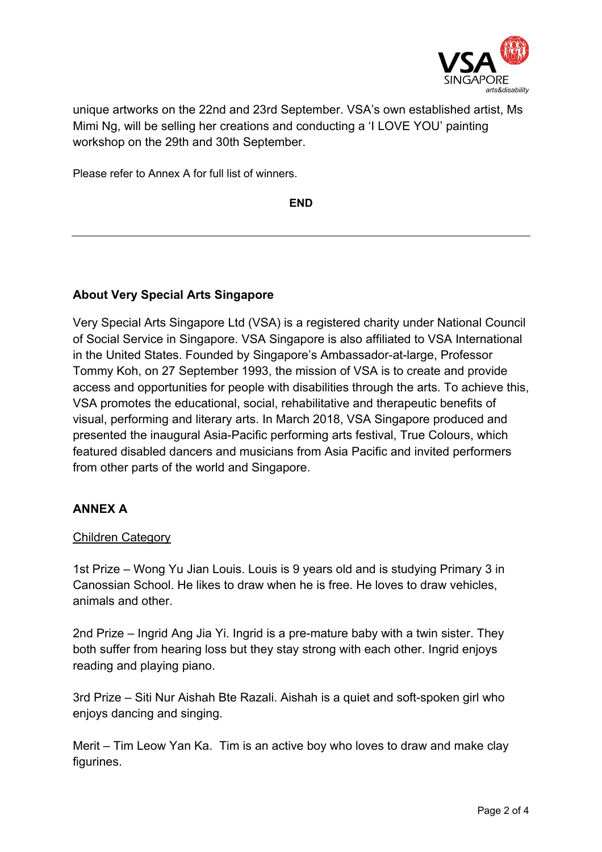

unique artworks on the 22nd and 23rd September. VSA's own established artist, Ms Mimi Ng, will be selling her creations and conducting a 'I LOVE YOU' painting workshop on the 29th and 30th September.

Please refer to Annex A for full list of winners.

**END**

## **About Very Special Arts Singapore**

Very Special Arts Singapore Ltd (VSA) is a registered charity under National Council of Social Service in Singapore. VSA Singapore is also affiliated to VSA International in the United States. Founded by Singapore's Ambassador-at-large, Professor Tommy Koh, on 27 September 1993, the mission of VSA is to create and provide access and opportunities for people with disabilities through the arts. To achieve this, VSA promotes the educational, social, rehabilitative and therapeutic benefits of visual, performing and literary arts. In March 2018, VSA Singapore produced and presented the inaugural Asia-Pacific performing arts festival, True Colours, which featured disabled dancers and musicians from Asia Pacific and invited performers from other parts of the world and Singapore.

### **ANNEX A**

### Children Category

1st Prize – Wong Yu Jian Louis. Louis is 9 years old and is studying Primary 3 in Canossian School. He likes to draw when he is free. He loves to draw vehicles, animals and other.

2nd Prize – Ingrid Ang Jia Yi. Ingrid is a pre-mature baby with a twin sister. They both suffer from hearing loss but they stay strong with each other. Ingrid enjoys reading and playing piano.

3rd Prize – Siti Nur Aishah Bte Razali. Aishah is a quiet and soft-spoken girl who enjoys dancing and singing.

Merit – Tim Leow Yan Ka. Tim is an active boy who loves to draw and make clay figurines.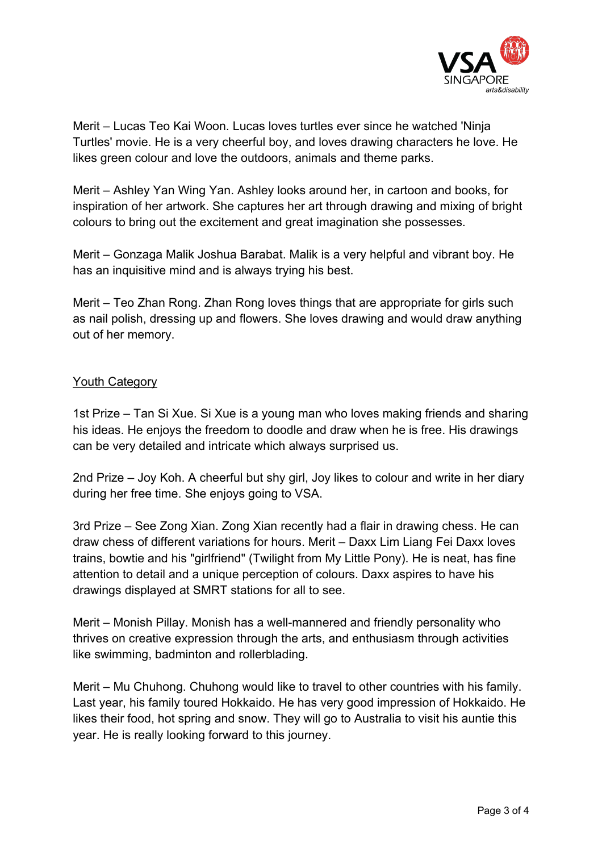

Merit – Lucas Teo Kai Woon. Lucas loves turtles ever since he watched 'Ninja Turtles' movie. He is a very cheerful boy, and loves drawing characters he love. He likes green colour and love the outdoors, animals and theme parks.

Merit – Ashley Yan Wing Yan. Ashley looks around her, in cartoon and books, for inspiration of her artwork. She captures her art through drawing and mixing of bright colours to bring out the excitement and great imagination she possesses.

Merit – Gonzaga Malik Joshua Barabat. Malik is a very helpful and vibrant boy. He has an inquisitive mind and is always trying his best.

Merit – Teo Zhan Rong. Zhan Rong loves things that are appropriate for girls such as nail polish, dressing up and flowers. She loves drawing and would draw anything out of her memory.

#### Youth Category

1st Prize – Tan Si Xue. Si Xue is a young man who loves making friends and sharing his ideas. He enjoys the freedom to doodle and draw when he is free. His drawings can be very detailed and intricate which always surprised us.

2nd Prize – Joy Koh. A cheerful but shy girl, Joy likes to colour and write in her diary during her free time. She enjoys going to VSA.

3rd Prize – See Zong Xian. Zong Xian recently had a flair in drawing chess. He can draw chess of different variations for hours. Merit – Daxx Lim Liang Fei Daxx loves trains, bowtie and his "girlfriend" (Twilight from My Little Pony). He is neat, has fine attention to detail and a unique perception of colours. Daxx aspires to have his drawings displayed at SMRT stations for all to see.

Merit – Monish Pillay. Monish has a well-mannered and friendly personality who thrives on creative expression through the arts, and enthusiasm through activities like swimming, badminton and rollerblading.

Merit – Mu Chuhong. Chuhong would like to travel to other countries with his family. Last year, his family toured Hokkaido. He has very good impression of Hokkaido. He likes their food, hot spring and snow. They will go to Australia to visit his auntie this year. He is really looking forward to this journey.